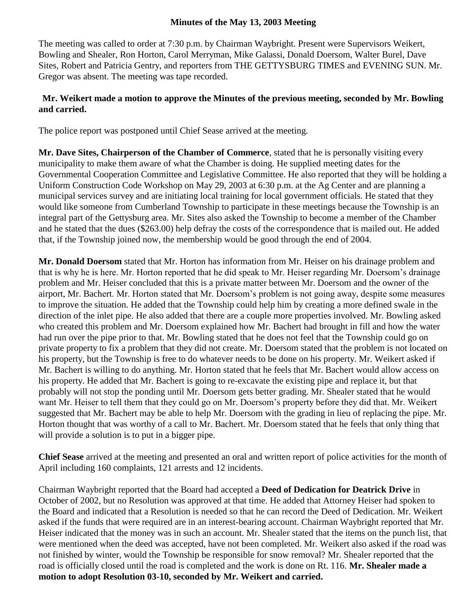## **Minutes of the May 13, 2003 Meeting**

The meeting was called to order at 7:30 p.m. by Chairman Waybright. Present were Supervisors Weikert, Bowling and Shealer, Ron Horton, Carol Merryman, Mike Galassi, Donald Doersom, Walter Burel, Dave Sites, Robert and Patricia Gentry, and reporters from THE GETTYSBURG TIMES and EVENING SUN. Mr. Gregor was absent. The meeting was tape recorded.

## **Mr. Weikert made a motion to approve the Minutes of the previous meeting, seconded by Mr. Bowling and carried.**

The police report was postponed until Chief Sease arrived at the meeting.

**Mr. Dave Sites, Chairperson of the Chamber of Commerce**, stated that he is personally visiting every municipality to make them aware of what the Chamber is doing. He supplied meeting dates for the Governmental Cooperation Committee and Legislative Committee. He also reported that they will be holding a Uniform Construction Code Workshop on May 29, 2003 at 6:30 p.m. at the Ag Center and are planning a municipal services survey and are initiating local training for local government officials. He stated that they would like someone from Cumberland Township to participate in these meetings because the Township is an integral part of the Gettysburg area. Mr. Sites also asked the Township to become a member of the Chamber and he stated that the dues (\$263.00) help defray the costs of the correspondence that is mailed out. He added that, if the Township joined now, the membership would be good through the end of 2004.

**Mr. Donald Doersom** stated that Mr. Horton has information from Mr. Heiser on his drainage problem and that is why he is here. Mr. Horton reported that he did speak to Mr. Heiser regarding Mr. Doersom's drainage problem and Mr. Heiser concluded that this is a private matter between Mr. Doersom and the owner of the airport, Mr. Bachert. Mr. Horton stated that Mr. Doersom's problem is not going away, despite some measures to improve the situation. He added that the Township could help him by creating a more defined swale in the direction of the inlet pipe. He also added that there are a couple more properties involved. Mr. Bowling asked who created this problem and Mr. Doersom explained how Mr. Bachert had brought in fill and how the water had run over the pipe prior to that. Mr. Bowling stated that he does not feel that the Township could go on private property to fix a problem that they did not create. Mr. Doersom stated that the problem is not located on his property, but the Township is free to do whatever needs to be done on his property. Mr. Weikert asked if Mr. Bachert is willing to do anything. Mr. Horton stated that he feels that Mr. Bachert would allow access on his property. He added that Mr. Bachert is going to re-excavate the existing pipe and replace it, but that probably will not stop the ponding until Mr. Doersom gets better grading. Mr. Shealer stated that he would want Mr. Heiser to tell them that they could go on Mr. Doersom's property before they did that. Mr. Weikert suggested that Mr. Bachert may be able to help Mr. Doersom with the grading in lieu of replacing the pipe. Mr. Horton thought that was worthy of a call to Mr. Bachert. Mr. Doersom stated that he feels that only thing that will provide a solution is to put in a bigger pipe.

**Chief Sease** arrived at the meeting and presented an oral and written report of police activities for the month of April including 160 complaints, 121 arrests and 12 incidents.

Chairman Waybright reported that the Board had accepted a **Deed of Dedication for Deatrick Drive** in October of 2002, but no Resolution was approved at that time. He added that Attorney Heiser had spoken to the Board and indicated that a Resolution is needed so that he can record the Deed of Dedication. Mr. Weikert asked if the funds that were required are in an interest-bearing account. Chairman Waybright reported that Mr. Heiser indicated that the money was in such an account. Mr. Shealer stated that the items on the punch list, that were mentioned when the deed was accepted, have not been completed. Mr. Weikert also asked if the road was not finished by winter, would the Township be responsible for snow removal? Mr. Shealer reported that the road is officially closed until the road is completed and the work is done on Rt. 116. **Mr. Shealer made a motion to adopt Resolution 03-10, seconded by Mr. Weikert and carried.**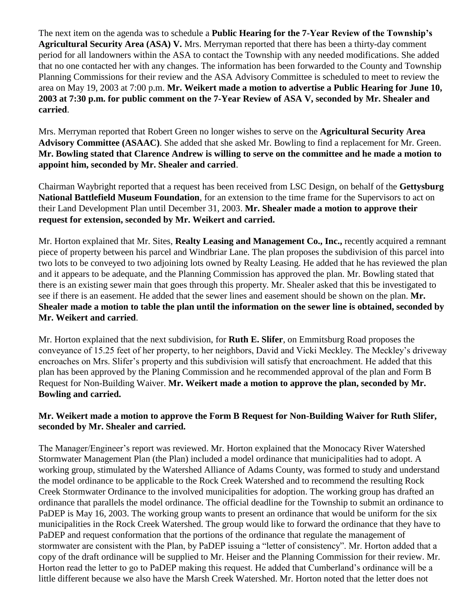The next item on the agenda was to schedule a **Public Hearing for the 7-Year Review of the Township's Agricultural Security Area (ASA) V.** Mrs. Merryman reported that there has been a thirty-day comment period for all landowners within the ASA to contact the Township with any needed modifications. She added that no one contacted her with any changes. The information has been forwarded to the County and Township Planning Commissions for their review and the ASA Advisory Committee is scheduled to meet to review the area on May 19, 2003 at 7:00 p.m. **Mr. Weikert made a motion to advertise a Public Hearing for June 10, 2003 at 7:30 p.m. for public comment on the 7-Year Review of ASA V, seconded by Mr. Shealer and carried**.

Mrs. Merryman reported that Robert Green no longer wishes to serve on the **Agricultural Security Area Advisory Committee (ASAAC)**. She added that she asked Mr. Bowling to find a replacement for Mr. Green. **Mr. Bowling stated that Clarence Andrew is willing to serve on the committee and he made a motion to appoint him, seconded by Mr. Shealer and carried**.

Chairman Waybright reported that a request has been received from LSC Design, on behalf of the **Gettysburg National Battlefield Museum Foundation**, for an extension to the time frame for the Supervisors to act on their Land Development Plan until December 31, 2003. **Mr. Shealer made a motion to approve their request for extension, seconded by Mr. Weikert and carried.**

Mr. Horton explained that Mr. Sites, **Realty Leasing and Management Co., Inc.,** recently acquired a remnant piece of property between his parcel and Windbriar Lane. The plan proposes the subdivision of this parcel into two lots to be conveyed to two adjoining lots owned by Realty Leasing. He added that he has reviewed the plan and it appears to be adequate, and the Planning Commission has approved the plan. Mr. Bowling stated that there is an existing sewer main that goes through this property. Mr. Shealer asked that this be investigated to see if there is an easement. He added that the sewer lines and easement should be shown on the plan. **Mr. Shealer made a motion to table the plan until the information on the sewer line is obtained, seconded by Mr. Weikert and carried**.

Mr. Horton explained that the next subdivision, for **Ruth E. Slifer**, on Emmitsburg Road proposes the conveyance of 15.25 feet of her property, to her neighbors, David and Vicki Meckley. The Meckley's driveway encroaches on Mrs. Slifer's property and this subdivision will satisfy that encroachment. He added that this plan has been approved by the Planing Commission and he recommended approval of the plan and Form B Request for Non-Building Waiver. **Mr. Weikert made a motion to approve the plan, seconded by Mr. Bowling and carried.** 

## **Mr. Weikert made a motion to approve the Form B Request for Non-Building Waiver for Ruth Slifer, seconded by Mr. Shealer and carried.**

The Manager/Engineer's report was reviewed. Mr. Horton explained that the Monocacy River Watershed Stormwater Management Plan (the Plan) included a model ordinance that municipalities had to adopt. A working group, stimulated by the Watershed Alliance of Adams County, was formed to study and understand the model ordinance to be applicable to the Rock Creek Watershed and to recommend the resulting Rock Creek Stormwater Ordinance to the involved municipalities for adoption. The working group has drafted an ordinance that parallels the model ordinance. The official deadline for the Township to submit an ordinance to PaDEP is May 16, 2003. The working group wants to present an ordinance that would be uniform for the six municipalities in the Rock Creek Watershed. The group would like to forward the ordinance that they have to PaDEP and request conformation that the portions of the ordinance that regulate the management of stormwater are consistent with the Plan, by PaDEP issuing a "letter of consistency". Mr. Horton added that a copy of the draft ordinance will be supplied to Mr. Heiser and the Planning Commission for their review. Mr. Horton read the letter to go to PaDEP making this request. He added that Cumberland's ordinance will be a little different because we also have the Marsh Creek Watershed. Mr. Horton noted that the letter does not